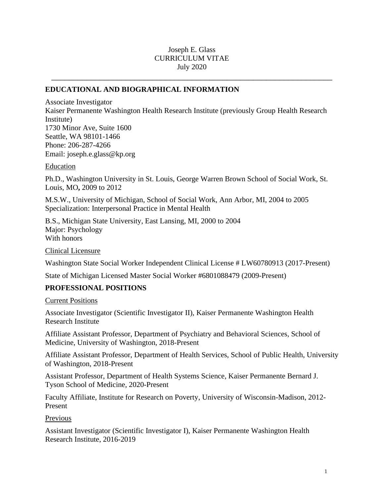### Joseph E. Glass CURRICULUM VITAE July 2020

\_\_\_\_\_\_\_\_\_\_\_\_\_\_\_\_\_\_\_\_\_\_\_\_\_\_\_\_\_\_\_\_\_\_\_\_\_\_\_\_\_\_\_\_\_\_\_\_\_\_\_\_\_\_\_\_\_\_\_\_\_\_\_\_

#### **EDUCATIONAL AND BIOGRAPHICAL INFORMATION**

Associate Investigator Kaiser Permanente Washington Health Research Institute (previously Group Health Research Institute) 1730 Minor Ave, Suite 1600 Seattle, WA 98101-1466 Phone: 206-287-4266 Email: joseph.e.glass@kp.org

**Education** 

Ph.D., Washington University in St. Louis, George Warren Brown School of Social Work, St. Louis, MO**,** 2009 to 2012

M.S.W., University of Michigan, School of Social Work, Ann Arbor, MI, 2004 to 2005 Specialization: Interpersonal Practice in Mental Health

B.S., Michigan State University, East Lansing, MI, 2000 to 2004 Major: Psychology With honors

Clinical Licensure

Washington State Social Worker Independent Clinical License # LW60780913 (2017-Present)

State of Michigan Licensed Master Social Worker #6801088479 (2009-Present)

#### **PROFESSIONAL POSITIONS**

Current Positions

Associate Investigator (Scientific Investigator II), Kaiser Permanente Washington Health Research Institute

Affiliate Assistant Professor, Department of Psychiatry and Behavioral Sciences, School of Medicine, University of Washington, 2018-Present

Affiliate Assistant Professor, Department of Health Services, School of Public Health, University of Washington, 2018-Present

Assistant Professor, Department of Health Systems Science, Kaiser Permanente Bernard J. Tyson School of Medicine, 2020-Present

Faculty Affiliate, Institute for Research on Poverty, University of Wisconsin-Madison, 2012- Present

Previous

Assistant Investigator (Scientific Investigator I), Kaiser Permanente Washington Health Research Institute, 2016-2019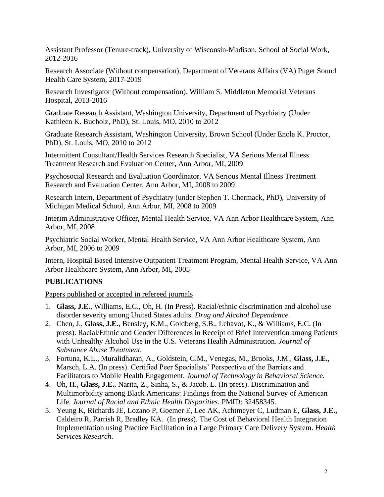Assistant Professor (Tenure-track), University of Wisconsin-Madison, School of Social Work, 2012-2016

Research Associate (Without compensation), Department of Veterans Affairs (VA) Puget Sound Health Care System, 2017-2019

Research Investigator (Without compensation), William S. Middleton Memorial Veterans Hospital, 2013-2016

Graduate Research Assistant, Washington University, Department of Psychiatry (Under Kathleen K. Bucholz, PhD), St. Louis, MO, 2010 to 2012

Graduate Research Assistant, Washington University, Brown School (Under Enola K. Proctor, PhD), St. Louis, MO, 2010 to 2012

Intermittent Consultant/Health Services Research Specialist, VA Serious Mental Illness Treatment Research and Evaluation Center, Ann Arbor, MI, 2009

Psychosocial Research and Evaluation Coordinator, VA Serious Mental Illness Treatment Research and Evaluation Center, Ann Arbor, MI, 2008 to 2009

Research Intern, Department of Psychiatry (under Stephen T. Chermack, PhD), University of Michigan Medical School, Ann Arbor, MI, 2008 to 2009

Interim Administrative Officer, Mental Health Service, VA Ann Arbor Healthcare System, Ann Arbor, MI, 2008

Psychiatric Social Worker, Mental Health Service, VA Ann Arbor Healthcare System, Ann Arbor, MI, 2006 to 2009

Intern, Hospital Based Intensive Outpatient Treatment Program, Mental Health Service, VA Ann Arbor Healthcare System, Ann Arbor, MI, 2005

# **PUBLICATIONS**

Papers published or accepted in refereed journals

- 1. **Glass, J.E.**, Williams, E.C., Oh, H. (In Press). Racial/ethnic discrimination and alcohol use disorder severity among United States adults. *Drug and Alcohol Dependence.*
- 2. Chen, J., **Glass, J.E.**, Bensley, K.M., Goldberg, S.B., Lehavot, K., & Williams, E.C. (In press). Racial/Ethnic and Gender Differences in Receipt of Brief Intervention among Patients with Unhealthy Alcohol Use in the U.S. Veterans Health Administration. *Journal of Substance Abuse Treatment.*
- 3. Fortuna, K.L., Muralidharan, A., Goldstein, C.M., Venegas, M., Brooks, J.M., **Glass, J.E.**, Marsch, L.A. (In press). Certified Peer Specialists' Perspective of the Barriers and Facilitators to Mobile Health Engagement. *Journal of Technology in Behavioral Science.*
- 4. Oh, H., **Glass, J.E.**, Narita, Z., Sinha, S., & Jacob, L. (In press). Discrimination and Multimorbidity among Black Americans: Findings from the National Survey of American Life. *Journal of Racial and Ethnic Health Disparities.* PMID: 32458345.
- 5. Yeung K, Richards JE, Lozano P, Goemer E, Lee AK, Achtmeyer C, Ludman E, **Glass, J.E.,** Caldeiro R, Parrish R, Bradley KA. (In press). The Cost of Behavioral Health Integration Implementation using Practice Facilitation in a Large Primary Care Delivery System. *Health Services Research*.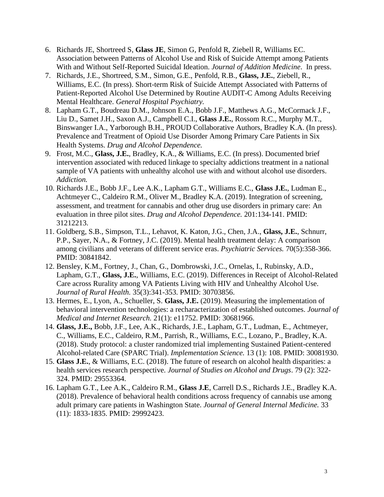- 6. Richards JE, Shortreed S, **Glass JE**, Simon G, Penfold R, Ziebell R, Williams EC. Association between Patterns of Alcohol Use and Risk of Suicide Attempt among Patients With and Without Self-Reported Suicidal Ideation. *Journal of Addition Medicine*. In press.
- 7. Richards, J.E., Shortreed, S.M., Simon, G.E., Penfold, R.B., **Glass, J.E.**, Ziebell, R., Williams, E.C. (In press). Short-term Risk of Suicide Attempt Associated with Patterns of Patient-Reported Alcohol Use Determined by Routine AUDIT-C Among Adults Receiving Mental Healthcare. *General Hospital Psychiatry.*
- 8. Lapham G.T., Boudreau D.M., Johnson E.A., Bobb J.F., Matthews A.G., McCormack J.F., Liu D., Samet J.H., Saxon A.J., Campbell C.I., **Glass J.E.**, Rossom R.C., Murphy M.T., Binswanger I.A., Yarborough B.H., PROUD Collaborative Authors, Bradley K.A. (In press). Prevalence and Treatment of Opioid Use Disorder Among Primary Care Patients in Six Health Systems. *Drug and Alcohol Dependence.*
- 9. Frost, M.C., **Glass, J.E.**, Bradley, K.A., & Williams, E.C. (In press). Documented brief intervention associated with reduced linkage to specialty addictions treatment in a national sample of VA patients with unhealthy alcohol use with and without alcohol use disorders. *Addiction.*
- 10. Richards J.E., Bobb J.F., Lee A.K., Lapham G.T., Williams E.C., **Glass J.E.**, Ludman E., Achtmeyer C., Caldeiro R.M., Oliver M., Bradley K.A. (2019). Integration of screening, assessment, and treatment for cannabis and other drug use disorders in primary care: An evaluation in three pilot sites. *Drug and Alcohol Dependence.* 201:134-141. PMID: 31212213.
- 11. Goldberg, S.B., Simpson, T.L., Lehavot, K. Katon, J.G., Chen, J.A., **Glass, J.E.**, Schnurr, P.P., Sayer, N.A., & Fortney, J.C. (2019). Mental health treatment delay: A comparison among civilians and veterans of different service eras. *Psychiatric Services.* 70(5):358-366. PMID: 30841842.
- 12. Bensley, K.M., Fortney, J., Chan, G., Dombrowski, J.C., Ornelas, I., Rubinsky, A.D., Lapham, G.T., **Glass, J.E.**, Williams, E.C. (2019). Differences in Receipt of Alcohol-Related Care across Rurality among VA Patients Living with HIV and Unhealthy Alcohol Use. *Journal of Rural Health.* 35(3):341-353. PMID: 30703856.
- 13. Hermes, E., Lyon, A., Schueller, S. **Glass, J.E.** (2019). Measuring the implementation of behavioral intervention technologies: a recharacterization of established outcomes. *Journal of Medical and Internet Research.* 21(1): e11752. PMID: 30681966.
- 14. **Glass, J.E.,** Bobb, J.F., Lee, A.K., Richards, J.E., Lapham, G.T., Ludman, E., Achtmeyer, C., Williams, E.C., Caldeiro, R.M., Parrish, R., Williams, E.C., Lozano, P., Bradley, K.A. (2018). Study protocol: a cluster randomized trial implementing Sustained Patient-centered Alcohol-related Care (SPARC Trial). *Implementation Science.* 13 (1): 108. PMID: 30081930.
- 15. **Glass J.E.**, & Williams, E.C. (2018). The future of research on alcohol health disparities: a health services research perspective. *Journal of Studies on Alcohol and Drugs*. 79 (2): 322- 324. PMID: 29553364.
- 16. Lapham G.T., Lee A.K., Caldeiro R.M., **Glass J.E**, Carrell D.S., Richards J.E., Bradley K.A. (2018). Prevalence of behavioral health conditions across frequency of cannabis use among adult primary care patients in Washington State. *Journal of General Internal Medicine.* 33 (11): 1833-1835. PMID: 29992423.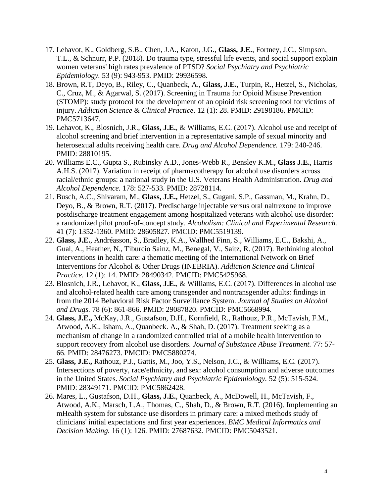- 17. Lehavot, K., Goldberg, S.B., Chen, J.A., Katon, J.G., **Glass, J.E.**, Fortney, J.C., Simpson, T.L., & Schnurr, P.P. (2018). Do trauma type, stressful life events, and social support explain women veterans' high rates prevalence of PTSD? *Social Psychiatry and Psychiatric Epidemiology.* 53 (9): 943-953. PMID: 29936598.
- 18. Brown, R.T, Deyo, B., Riley, C., Quanbeck, A., **Glass, J.E.**, Turpin, R., Hetzel, S., Nicholas, C., Cruz, M., & Agarwal, S. (2017). Screening in Trauma for Opioid Misuse Prevention (STOMP): study protocol for the development of an opioid risk screening tool for victims of injury. *Addiction Science & Clinical Practice*. 12 (1): 28. PMID: 29198186. PMCID: PMC5713647.
- 19. Lehavot, K., Blosnich, J.R., **Glass, J.E.**, & Williams, E.C. (2017). Alcohol use and receipt of alcohol screening and brief intervention in a representative sample of sexual minority and heterosexual adults receiving health care. *Drug and Alcohol Dependence.* 179: 240-246. PMID: 28810195.
- 20. Williams E.C., Gupta S., Rubinsky A.D., Jones-Webb R., Bensley K.M., **Glass J.E.**, Harris A.H.S. (2017). Variation in receipt of pharmacotherapy for alcohol use disorders across racial/ethnic groups: a national study in the U.S. Veterans Health Administration. *Drug and Alcohol Dependence.* 178: 527-533. PMID: 28728114.
- 21. Busch, A.C., Shivaram, M., **Glass, J.E.,** Hetzel, S., Gugani, S.P., Gassman, M., Krahn, D., Deyo, B., & Brown, R.T. (2017). Predischarge injectable versus oral naltrexone to improve postdischarge treatment engagement among hospitalized veterans with alcohol use disorder: a randomized pilot proof-of-concept study. *Alcoholism: Clinical and Experimental Research.* 41 (7): 1352-1360. PMID: 28605827. PMCID: PMC5519139.
- 22. **Glass, J.E.**, Andréasson, S., Bradley, K.A., Wallhed Finn, S., Williams, E.C., Bakshi, A., Gual, A., Heather, N., Tiburcio Sainz, M., Benegal, V., Saitz, R. (2017). Rethinking alcohol interventions in health care: a thematic meeting of the International Network on Brief Interventions for Alcohol & Other Drugs (INEBRIA). *Addiction Science and Clinical Practice.* 12 (1): 14. PMID: 28490342. PMCID: PMC5425968.
- 23. Blosnich, J.R., Lehavot, K., **Glass, J.E.**, & Williams, E.C. (2017). Differences in alcohol use and alcohol-related health care among transgender and nontransgender adults: findings in from the 2014 Behavioral Risk Factor Surveillance System. *Journal of Studies on Alcohol and Drugs.* 78 (6): 861-866. PMID: 29087820. PMCID: PMC5668994.
- 24. **Glass, J.E.,** McKay, J.R., Gustafson, D.H., Kornfield, R., Rathouz, P.R., McTavish, F.M., Atwood, A.K., Isham, A., Quanbeck. A., & Shah, D. (2017). Treatment seeking as a mechanism of change in a randomized controlled trial of a mobile health intervention to support recovery from alcohol use disorders. *Journal of Substance Abuse Treatment.* 77: 57- 66. PMID: 28476273. PMCID: PMC5880274.
- 25. **Glass, J.E.,** Rathouz, P.J., Gattis, M., Joo, Y.S., Nelson, J.C., & Williams, E.C. (2017). Intersections of poverty, race/ethnicity, and sex: alcohol consumption and adverse outcomes in the United States. *Social Psychiatry and Psychiatric Epidemiology.* 52 (5): 515-524. PMID: 28349171. PMCID: PMC5862428.
- 26. Mares, L., Gustafson, D.H., **Glass, J.E.**, Quanbeck, A., McDowell, H., McTavish, F., Atwood, A.K., Marsch, L.A., Thomas, C., Shah, D., & Brown, R.T. (2016). Implementing an mHealth system for substance use disorders in primary care: a mixed methods study of clinicians' initial expectations and first year experiences. *BMC Medical Informatics and Decision Making.* 16 (1): 126. PMID: 27687632. PMCID: PMC5043521.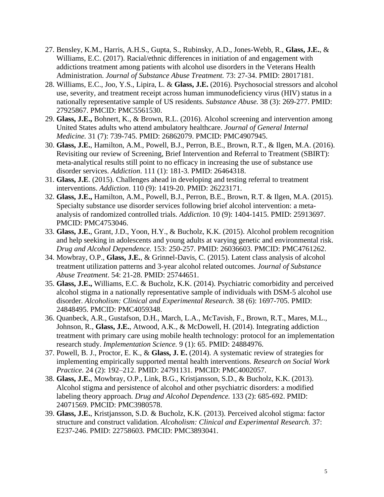- 27. Bensley, K.M., Harris, A.H.S., Gupta, S., Rubinsky, A.D., Jones-Webb, R., **Glass, J.E.**, & Williams, E.C. (2017). Racial/ethnic differences in initiation of and engagement with addictions treatment among patients with alcohol use disorders in the Veterans Health Administration. *Journal of Substance Abuse Treatment.* 73: 27-34. PMID: 28017181.
- 28. Williams, E.C., Joo, Y.S., Lipira, L. & **Glass, J.E.** (2016). Psychosocial stressors and alcohol use, severity, and treatment receipt across human immunodeficiency virus (HIV) status in a nationally representative sample of US residents. *Substance Abuse.* 38 (3): 269-277. PMID: 27925867. PMCID: PMC5561530.
- 29. **Glass, J.E.,** Bohnert, K., & Brown, R.L. (2016). Alcohol screening and intervention among United States adults who attend ambulatory healthcare. *Journal of General Internal Medicine.* 31 (7): 739-745. PMID: 26862079. PMCID: PMC4907945.
- 30. **Glass, J.E.**, Hamilton, A.M., Powell, B.J., Perron, B.E., Brown, R.T., & Ilgen, M.A. (2016). Revisiting our review of Screening, Brief Intervention and Referral to Treatment (SBIRT): meta-analytical results still point to no efficacy in increasing the use of substance use disorder services. *Addiction*. 111 (1): 181-3. PMID: 26464318.
- 31. **Glass, J.E**. (2015). Challenges ahead in developing and testing referral to treatment interventions. *Addiction*. 110 (9): 1419-20. PMID: 26223171.
- 32. **Glass, J.E.,** Hamilton, A.M., Powell, B.J., Perron, B.E., Brown, R.T. & Ilgen, M.A. (2015). Specialty substance use disorder services following brief alcohol intervention: a metaanalysis of randomized controlled trials. *Addiction.* 10 (9): 1404-1415. PMID: 25913697. PMCID: PMC4753046.
- 33. **Glass, J.E.**, Grant, J.D., Yoon, H.Y., & Bucholz, K.K. (2015). Alcohol problem recognition and help seeking in adolescents and young adults at varying genetic and environmental risk*. Drug and Alcohol Dependence.* 153: 250-257. PMID: 26036603. PMCID: PMC4761262.
- 34. Mowbray, O.P., **Glass, J.E.**, & Grinnel-Davis, C. (2015). Latent class analysis of alcohol treatment utilization patterns and 3-year alcohol related outcomes. *Journal of Substance Abuse Treatment*. 54: 21-28. PMID: 25744651.
- 35. **Glass, J.E.,** Williams, E.C. & Bucholz, K.K. (2014). Psychiatric comorbidity and perceived alcohol stigma in a nationally representative sample of individuals with DSM-5 alcohol use disorder. *Alcoholism: Clinical and Experimental Research.* 38 (6): 1697-705. PMID: 24848495. PMCID: PMC4059348.
- 36. Quanbeck, A.R., Gustafson, D.H., March, L.A., McTavish, F., Brown, R.T., Mares, M.L., Johnson, R., **Glass, J.E.**, Atwood, A.K., & McDowell, H. (2014). Integrating addiction treatment with primary care using mobile health technology: protocol for an implementation research study. *Implementation Science.* 9 (1): 65. PMID: 24884976.
- 37. Powell, B. J., Proctor, E. K., & **Glass, J. E.** (2014). A systematic review of strategies for implementing empirically supported mental health interventions. *Research on Social Work Practice*. 24 (2): 192–212. PMID: 24791131. PMCID: PMC4002057.
- 38. **Glass, J.E.**, Mowbray, O.P., Link, B.G., Kristjansson, S.D., & Bucholz, K.K. (2013). Alcohol stigma and persistence of alcohol and other psychiatric disorders: a modified labeling theory approach. *Drug and Alcohol Dependence.* 133 (2): 685-692. PMID: 24071569. PMCID: PMC3980578.
- 39. **Glass, J.E.**, Kristjansson, S.D. & Bucholz, K.K. (2013). Perceived alcohol stigma: factor structure and construct validation. *Alcoholism: Clinical and Experimental Research.* 37: E237-246. PMID: 22758603. PMCID: PMC3893041.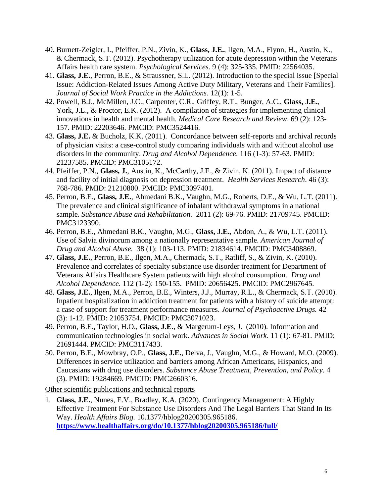- 40. Burnett-Zeigler, I., Pfeiffer, P.N., Zivin, K., **Glass, J.E.**, Ilgen, M.A., Flynn, H., Austin, K., & Chermack, S.T. (2012). Psychotherapy utilization for acute depression within the Veterans Affairs health care system. *Psychological Services.* 9 (4): 325-335. PMID: 22564035.
- 41. **Glass, J.E.**, Perron, B.E., & Straussner, S.L. (2012). Introduction to the special issue [Special Issue: Addiction-Related Issues Among Active Duty Military, Veterans and Their Families]. *Journal of Social Work Practice in the Addictions.* 12(1): 1-5.
- 42. Powell, B.J., McMillen, J.C., Carpenter, C.R., Griffey, R.T., Bunger, A.C., **Glass, J.E.**, York, J.L., & Proctor, E.K. (2012). A compilation of strategies for implementing clinical innovations in health and mental health. *Medical Care Research and Review*. 69 (2): 123- 157. PMID: 22203646. PMCID: PMC3524416.
- 43. **Glass, J.E.** & Bucholz, K.K. (2011). Concordance between self-reports and archival records of physician visits: a case-control study comparing individuals with and without alcohol use disorders in the community. *Drug and Alcohol Dependence.* 116 (1-3): 57-63. PMID: 21237585. PMCID: PMC3105172.
- 44. Pfeiffer, P.N., **Glass, J.**, Austin, K., McCarthy, J.F., & Zivin, K. (2011). Impact of distance and facility of initial diagnosis on depression treatment. *Health Services Research*. 46 (3): 768-786. PMID: 21210800. PMCID: PMC3097401.
- 45. Perron, B.E., **Glass, J.E.**, Ahmedani B.K., Vaughn, M.G., Roberts, D.E., & Wu, L.T. (2011). The prevalence and clinical significance of inhalant withdrawal symptoms in a national sample. *Substance Abuse and Rehabilitation.* 2011 (2): 69-76. PMID: 21709745. PMCID: PMC3123390.
- 46. Perron, B.E., Ahmedani B.K., Vaughn, M.G., **Glass, J.E.**, Abdon, A., & Wu, L.T. (2011). Use of Salvia divinorum among a nationally representative sample. *American Journal of Drug and Alcohol Abuse.* 38 (1): 103-113. PMID: 21834614. PMCID: PMC3408869.
- 47. **Glass, J.E.**, Perron, B.E., Ilgen, M.A., Chermack, S.T., Ratliff, S., & Zivin, K. (2010). Prevalence and correlates of specialty substance use disorder treatment for Department of Veterans Affairs Healthcare System patients with high alcohol consumption. *Drug and Alcohol Dependence*. 112 (1-2): 150-155. PMID: 20656425. PMCID: PMC2967645.
- 48. **Glass, J.E.**, Ilgen, M.A., Perron, B.E., Winters, J.J., Murray, R.L., & Chermack, S.T. (2010). Inpatient hospitalization in addiction treatment for patients with a history of suicide attempt: a case of support for treatment performance measures. *Journal of Psychoactive Drugs.* 42 (3): 1-12. PMID: 21053754. PMCID: PMC3071023.
- 49. Perron, B.E., Taylor, H.O., **Glass, J.E.**, & Margerum-Leys, J. (2010). Information and communication technologies in social work. *Advances in Social Work*. 11 (1): 67-81. PMID: 21691444. PMCID: PMC3117433.
- 50. Perron, B.E., Mowbray, O.P., **Glass, J.E.**, Delva, J., Vaughn, M.G., & Howard, M.O. (2009). Differences in service utilization and barriers among African Americans, Hispanics, and Caucasians with drug use disorders. *Substance Abuse Treatment, Prevention, and Policy.* 4 (3). PMID: 19284669. PMCID: PMC2660316.

Other scientific publications and technical reports

1. **Glass, J.E.**, Nunes, E.V., Bradley, K.A. (2020). Contingency Management: A Highly Effective Treatment For Substance Use Disorders And The Legal Barriers That Stand In Its Way. *Health Affairs Blog.* 10.1377/hblog20200305.965186. **<https://www.healthaffairs.org/do/10.1377/hblog20200305.965186/full/>**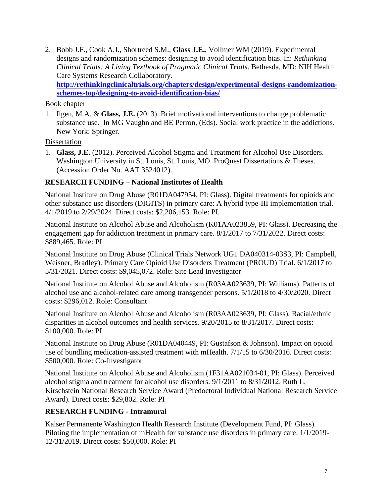2. Bobb J.F., Cook A.J., Shortreed S.M., **Glass J.E.**, Vollmer WM (2019). Experimental designs and randomization schemes: designing to avoid identification bias. In: *Rethinking Clinical Trials: A Living Textbook of Pragmatic Clinical Trials*. Bethesda, MD: NIH Health Care Systems Research Collaboratory. **[http://rethinkingclinicaltrials.org/chapters/design/experimental-designs-randomization](http://rethinkingclinicaltrials.org/chapters/design/experimental-designs-randomization-schemes-top/designing-to-avoid-identification-bias/)[schemes-top/designing-to-avoid-identification-bias/](http://rethinkingclinicaltrials.org/chapters/design/experimental-designs-randomization-schemes-top/designing-to-avoid-identification-bias/)**

Book chapter

1. Ilgen, M.A. & **Glass, J.E.** (2013). Brief motivational interventions to change problematic substance use. In MG Vaughn and BE Perron, (Eds). Social work practice in the addictions. New York: Springer.

Dissertation

1. **Glass, J.E.** (2012). Perceived Alcohol Stigma and Treatment for Alcohol Use Disorders. Washington University in St. Louis, St. Louis, MO. ProQuest Dissertations & Theses. (Accession Order No. AAT 3524012).

# **RESEARCH FUNDING – National Institutes of Health**

National Institute on Drug Abuse (R01DA047954, PI: Glass). Digital treatments for opioids and other substance use disorders (DIGITS) in primary care: A hybrid type-III implementation trial. 4/1/2019 to 2/29/2024. Direct costs: \$2,206,153. Role: PI.

National Institute on Alcohol Abuse and Alcoholism (K01AA023859, PI: Glass). Decreasing the engagement gap for addiction treatment in primary care. 8/1/2017 to 7/31/2022. Direct costs: \$889,465. Role: PI

National Institute on Drug Abuse (Clinical Trials Network UG1 DA040314-03S3, PI: Campbell, Weisner, Bradley). Primary Care Opioid Use Disorders Treatment (PROUD) Trial. 6/1/2017 to 5/31/2021. Direct costs: \$9,045,072. Role: Site Lead Investigator

National Institute on Alcohol Abuse and Alcoholism (R03AA023639, PI: Williams). Patterns of alcohol use and alcohol-related care among transgender persons. 5/1/2018 to 4/30/2020. Direct costs: \$296,012. Role: Consultant

National Institute on Alcohol Abuse and Alcoholism (R03AA023639, PI: Glass). Racial/ethnic disparities in alcohol outcomes and health services. 9/20/2015 to 8/31/2017. Direct costs: \$100,000. Role: PI

National Institute on Drug Abuse (R01DA040449, PI: Gustafson & Johnson). Impact on opioid use of bundling medication-assisted treatment with mHealth. 7/1/15 to 6/30/2016. Direct costs: \$500,000. Role: Co-Investigator

National Institute on Alcohol Abuse and Alcoholism (1F31AA021034-01, PI: Glass). Perceived alcohol stigma and treatment for alcohol use disorders. 9/1/2011 to 8/31/2012. Ruth L. Kirschstein National Research Service Award (Predoctoral Individual National Research Service Award). Direct costs: \$29,802. Role: PI

### **RESEARCH FUNDING - Intramural**

Kaiser Permanente Washington Health Research Institute (Development Fund, PI: Glass). Piloting the implementation of mHealth for substance use disorders in primary care. 1/1/2019- 12/31/2019. Direct costs: \$50,000. Role: PI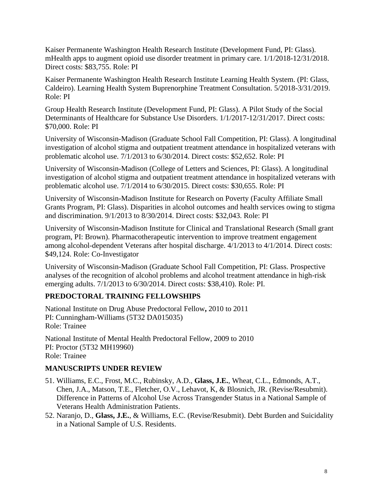Kaiser Permanente Washington Health Research Institute (Development Fund, PI: Glass). mHealth apps to augment opioid use disorder treatment in primary care. 1/1/2018-12/31/2018. Direct costs: \$83,755. Role: PI

Kaiser Permanente Washington Health Research Institute Learning Health System. (PI: Glass, Caldeiro). Learning Health System Buprenorphine Treatment Consultation. 5/2018-3/31/2019. Role: PI

Group Health Research Institute (Development Fund, PI: Glass). A Pilot Study of the Social Determinants of Healthcare for Substance Use Disorders. 1/1/2017-12/31/2017. Direct costs: \$70,000. Role: PI

University of Wisconsin-Madison (Graduate School Fall Competition, PI: Glass). A longitudinal investigation of alcohol stigma and outpatient treatment attendance in hospitalized veterans with problematic alcohol use. 7/1/2013 to 6/30/2014. Direct costs: \$52,652. Role: PI

University of Wisconsin-Madison (College of Letters and Sciences, PI: Glass). A longitudinal investigation of alcohol stigma and outpatient treatment attendance in hospitalized veterans with problematic alcohol use. 7/1/2014 to 6/30/2015. Direct costs: \$30,655. Role: PI

University of Wisconsin-Madison Institute for Research on Poverty (Faculty Affiliate Small Grants Program, PI: Glass). Disparities in alcohol outcomes and health services owing to stigma and discrimination. 9/1/2013 to 8/30/2014. Direct costs: \$32,043. Role: PI

University of Wisconsin-Madison Institute for Clinical and Translational Research (Small grant program, PI: Brown). Pharmacotherapeutic intervention to improve treatment engagement among alcohol-dependent Veterans after hospital discharge. 4/1/2013 to 4/1/2014. Direct costs: \$49,124. Role: Co-Investigator

University of Wisconsin-Madison (Graduate School Fall Competition, PI: Glass. Prospective analyses of the recognition of alcohol problems and alcohol treatment attendance in high-risk emerging adults. 7/1/2013 to 6/30/2014. Direct costs: \$38,410). Role: PI.

# **PREDOCTORAL TRAINING FELLOWSHIPS**

National Institute on Drug Abuse Predoctoral Fellow**,** 2010 to 2011 PI: Cunningham-Williams (5T32 DA015035) Role: Trainee

National Institute of Mental Health Predoctoral Fellow, 2009 to 2010 PI: Proctor (5T32 MH19960) Role: Trainee

### **MANUSCRIPTS UNDER REVIEW**

- 51. Williams, E.C., Frost, M.C., Rubinsky, A.D., **Glass, J.E.**, Wheat, C.L., Edmonds, A.T., Chen, J.A., Matson, T.E., Fletcher, O.V., Lehavot, K, & Blosnich, JR. (Revise/Resubmit). Difference in Patterns of Alcohol Use Across Transgender Status in a National Sample of Veterans Health Administration Patients.
- 52. Naranjo, D., **Glass, J.E.**, & Williams, E.C. (Revise/Resubmit). Debt Burden and Suicidality in a National Sample of U.S. Residents.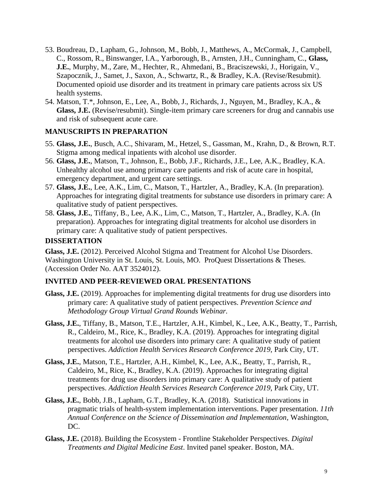- 53. Boudreau, D., Lapham, G., Johnson, M., Bobb, J., Matthews, A., McCormak, J., Campbell, C., Rossom, R., Binswanger, I.A., Yarborough, B., Arnsten, J.H., Cunningham, C., **Glass, J.E.**, Murphy, M., Zare, M., Hechter, R., Ahmedani, B., Braciszewski, J., Horigain, V., Szapocznik, J., Samet, J., Saxon, A., Schwartz, R., & Bradley, K.A. (Revise/Resubmit). Documented opioid use disorder and its treatment in primary care patients across six US health systems.
- 54. Matson, T.\*, Johnson, E., Lee, A., Bobb, J., Richards, J., Nguyen, M., Bradley, K.A., & **Glass, J.E.** (Revise/resubmit). Single-item primary care screeners for drug and cannabis use and risk of subsequent acute care.

# **MANUSCRIPTS IN PREPARATION**

- 55. **Glass, J.E.**, Busch, A.C., Shivaram, M., Hetzel, S., Gassman, M., Krahn, D., & Brown, R.T. Stigma among medical inpatients with alcohol use disorder.
- 56. **Glass, J.E.**, Matson, T., Johnson, E., Bobb, J.F., Richards, J.E., Lee, A.K., Bradley, K.A. Unhealthy alcohol use among primary care patients and risk of acute care in hospital, emergency department, and urgent care settings.
- 57. **Glass, J.E.**, Lee, A.K., Lim, C., Matson, T., Hartzler, A., Bradley, K.A. (In preparation). Approaches for integrating digital treatments for substance use disorders in primary care: A qualitative study of patient perspectives.
- 58. **Glass, J.E.**, Tiffany, B., Lee, A.K., Lim, C., Matson, T., Hartzler, A., Bradley, K.A. (In preparation). Approaches for integrating digital treatments for alcohol use disorders in primary care: A qualitative study of patient perspectives.

# **DISSERTATION**

**Glass, J.E.** (2012). Perceived Alcohol Stigma and Treatment for Alcohol Use Disorders. Washington University in St. Louis, St. Louis, MO. ProQuest Dissertations & Theses. (Accession Order No. AAT 3524012).

# **INVITED AND PEER-REVIEWED ORAL PRESENTATIONS**

- **Glass, J.E.** (2019). Approaches for implementing digital treatments for drug use disorders into primary care: A qualitative study of patient perspectives. *Prevention Science and Methodology Group Virtual Grand Rounds Webinar.*
- **Glass, J.E.**, Tiffany, B., Matson, T.E., Hartzler, A.H., Kimbel, K., Lee, A.K., Beatty, T., Parrish, R., Caldeiro, M., Rice, K., Bradley, K.A. (2019). Approaches for integrating digital treatments for alcohol use disorders into primary care: A qualitative study of patient perspectives. *Addiction Health Services Research Conference 2019*, Park City, UT.
- **Glass, J.E.**, Matson, T.E., Hartzler, A.H., Kimbel, K., Lee, A.K., Beatty, T., Parrish, R., Caldeiro, M., Rice, K., Bradley, K.A. (2019). Approaches for integrating digital treatments for drug use disorders into primary care: A qualitative study of patient perspectives. *Addiction Health Services Research Conference 2019*, Park City, UT.
- **Glass, J.E.**, Bobb, J.B., Lapham, G.T., Bradley, K.A. (2018). Statistical innovations in pragmatic trials of health-system implementation interventions. Paper presentation. *11th Annual Conference on the Science of Dissemination and Implementation,* Washington, DC.
- **Glass, J.E.** (2018). Building the Ecosystem Frontline Stakeholder Perspectives. *Digital Treatments and Digital Medicine East*. Invited panel speaker. Boston, MA.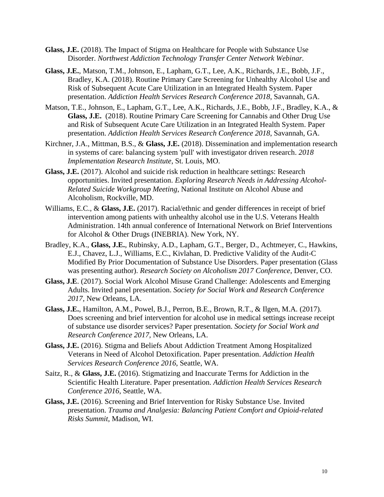- **Glass, J.E.** (2018). The Impact of Stigma on Healthcare for People with Substance Use Disorder. *Northwest Addiction Technology Transfer Center Network Webinar.*
- **Glass, J.E.**, Matson, T.M., Johnson, E., Lapham, G.T., Lee, A.K., Richards, J.E., Bobb, J.F., Bradley, K.A. (2018). Routine Primary Care Screening for Unhealthy Alcohol Use and Risk of Subsequent Acute Care Utilization in an Integrated Health System. Paper presentation. *Addiction Health Services Research Conference 2018*, Savannah, GA.
- Matson, T.E., Johnson, E., Lapham, G.T., Lee, A.K., Richards, J.E., Bobb, J.F., Bradley, K.A., & **Glass, J.E.** (2018). Routine Primary Care Screening for Cannabis and Other Drug Use and Risk of Subsequent Acute Care Utilization in an Integrated Health System. Paper presentation. *Addiction Health Services Research Conference 2018*, Savannah, GA.
- Kirchner, J.A., Mittman, B.S., & **Glass, J.E.** (2018). Dissemination and implementation research in systems of care: balancing system 'pull' with investigator driven research. *2018 Implementation Research Institute*, St. Louis, MO.
- **Glass, J.E.** (2017). Alcohol and suicide risk reduction in healthcare settings: Research opportunities. Invited presentation. *Exploring Research Needs in Addressing Alcohol-Related Suicide Workgroup Meeting*, National Institute on Alcohol Abuse and Alcoholism, Rockville, MD.
- Williams, E.C., & **Glass, J.E.** (2017). Racial/ethnic and gender differences in receipt of brief intervention among patients with unhealthy alcohol use in the U.S. Veterans Health Administration. 14th annual conference of International Network on Brief Interventions for Alcohol & Other Drugs (INEBRIA). New York, NY.
- Bradley, K.A., **Glass, J.E.**, Rubinsky, A.D., Lapham, G.T., Berger, D., Achtmeyer, C., Hawkins, E.J., Chavez, L.J., Williams, E.C., Kivlahan, D. Predictive Validity of the Audit-C Modified By Prior Documentation of Substance Use Disorders. Paper presentation (Glass was presenting author). *Research Society on Alcoholism 2017 Conference*, Denver, CO.
- **Glass, J.E**. (2017). Social Work Alcohol Misuse Grand Challenge: Adolescents and Emerging Adults. Invited panel presentation. *Society for Social Work and Research Conference 2017,* New Orleans, LA.
- **Glass, J.E.**, Hamilton, A.M., Powel, B.J., Perron, B.E., Brown, R.T., & Ilgen, M.A. (2017). Does screening and brief intervention for alcohol use in medical settings increase receipt of substance use disorder services? Paper presentation. *Society for Social Work and Research Conference 2017,* New Orleans, LA.
- **Glass, J.E.** (2016). Stigma and Beliefs About Addiction Treatment Among Hospitalized Veterans in Need of Alcohol Detoxification. Paper presentation. *Addiction Health Services Research Conference 2016*, Seattle, WA.
- Saitz, R., & **Glass, J.E.** (2016). Stigmatizing and Inaccurate Terms for Addiction in the Scientific Health Literature. Paper presentation. *Addiction Health Services Research Conference 2016*, Seattle, WA.
- **Glass, J.E.** (2016). Screening and Brief Intervention for Risky Substance Use. Invited presentation. *Trauma and Analgesia: Balancing Patient Comfort and Opioid-related Risks Summit*, Madison, WI.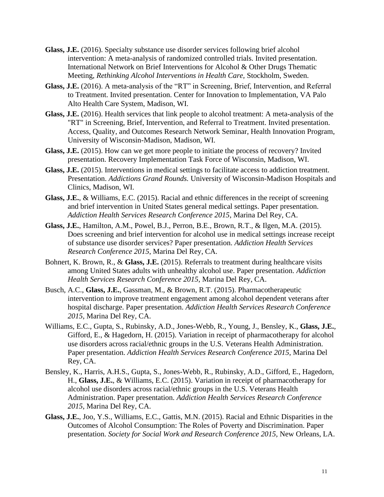- **Glass, J.E.** (2016). Specialty substance use disorder services following brief alcohol intervention: A meta-analysis of randomized controlled trials. Invited presentation. International Network on Brief Interventions for Alcohol & Other Drugs Thematic Meeting, *Rethinking Alcohol Interventions in Health Care,* Stockholm, Sweden.
- **Glass, J.E.** (2016). A meta-analysis of the "RT" in Screening, Brief, Intervention, and Referral to Treatment. Invited presentation. Center for Innovation to Implementation, VA Palo Alto Health Care System, Madison, WI.
- **Glass, J.E.** (2016). Health services that link people to alcohol treatment: A meta-analysis of the "RT" in Screening, Brief, Intervention, and Referral to Treatment. Invited presentation. Access, Quality, and Outcomes Research Network Seminar, Health Innovation Program, University of Wisconsin-Madison, Madison, WI.
- **Glass, J.E.** (2015). How can we get more people to initiate the process of recovery? Invited presentation. Recovery Implementation Task Force of Wisconsin, Madison, WI.
- **Glass, J.E.** (2015). Interventions in medical settings to facilitate access to addiction treatment. Presentation. *Addictions Grand Rounds.* University of Wisconsin-Madison Hospitals and Clinics, Madison, WI.
- **Glass, J.E.**, & Williams, E.C. (2015). Racial and ethnic differences in the receipt of screening and brief intervention in United States general medical settings. Paper presentation. *Addiction Health Services Research Conference 2015*, Marina Del Rey, CA.
- **Glass, J.E.**, Hamilton, A.M., Powel, B.J., Perron, B.E., Brown, R.T., & Ilgen, M.A. (2015). Does screening and brief intervention for alcohol use in medical settings increase receipt of substance use disorder services? Paper presentation. *Addiction Health Services Research Conference 2015*, Marina Del Rey, CA.
- Bohnert, K. Brown, R., & **Glass, J.E.** (2015). Referrals to treatment during healthcare visits among United States adults with unhealthy alcohol use. Paper presentation. *Addiction Health Services Research Conference 2015*, Marina Del Rey, CA.
- Busch, A.C., **Glass, J.E.**, Gassman, M., & Brown, R.T. (2015). Pharmacotherapeutic intervention to improve treatment engagement among alcohol dependent veterans after hospital discharge. Paper presentation. *Addiction Health Services Research Conference 2015*, Marina Del Rey, CA.
- Williams, E.C., Gupta, S., Rubinsky, A.D., Jones-Webb, R., Young, J., Bensley, K., **Glass, J.E.**, Gifford, E., & Hagedorn, H. (2015). Variation in receipt of pharmacotherapy for alcohol use disorders across racial/ethnic groups in the U.S. Veterans Health Administration. Paper presentation. *Addiction Health Services Research Conference 2015*, Marina Del Rey, CA.
- Bensley, K., Harris, A.H.S., Gupta, S., Jones-Webb, R., Rubinsky, A.D., Gifford, E., Hagedorn, H., **Glass, J.E.**, & Williams, E.C. (2015). Variation in receipt of pharmacotherapy for alcohol use disorders across racial/ethnic groups in the U.S. Veterans Health Administration. Paper presentation. *Addiction Health Services Research Conference 2015*, Marina Del Rey, CA.
- **Glass, J.E.**, Joo, Y.S., Williams, E.C., Gattis, M.N. (2015). Racial and Ethnic Disparities in the Outcomes of Alcohol Consumption: The Roles of Poverty and Discrimination. Paper presentation. *Society for Social Work and Research Conference 2015,* New Orleans, LA.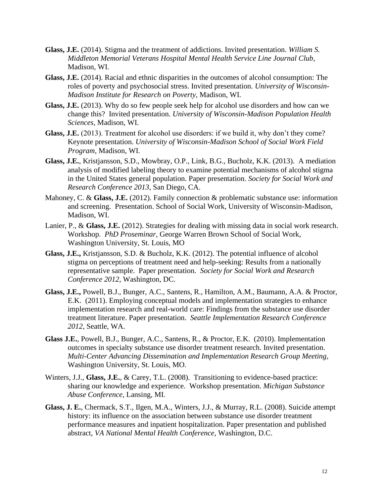- **Glass, J.E.** (2014). Stigma and the treatment of addictions. Invited presentation. *William S. Middleton Memorial Veterans Hospital Mental Health Service Line Journal Club*, Madison, WI.
- **Glass, J.E.** (2014). Racial and ethnic disparities in the outcomes of alcohol consumption: The roles of poverty and psychosocial stress. Invited presentation. *University of Wisconsin-Madison Institute for Research on Poverty,* Madison, WI.
- **Glass, J.E.** (2013). Why do so few people seek help for alcohol use disorders and how can we change this? Invited presentation. *University of Wisconsin-Madison Population Health Sciences,* Madison, WI.
- **Glass, J.E.** (2013). Treatment for alcohol use disorders: if we build it, why don't they come? Keynote presentation. *University of Wisconsin-Madison School of Social Work Field Program,* Madison, WI.
- **Glass, J.E.**, Kristjansson, S.D., Mowbray, O.P., Link, B.G., Bucholz, K.K. (2013). A mediation analysis of modified labeling theory to examine potential mechanisms of alcohol stigma in the United States general population. Paper presentation. *Society for Social Work and Research Conference 2013*, San Diego, CA.
- Mahoney, C. & **Glass, J.E.** (2012). Family connection & problematic substance use: information and screening. Presentation. School of Social Work, University of Wisconsin-Madison, Madison, WI.
- Lanier, P., & **Glass, J.E.** (2012). Strategies for dealing with missing data in social work research. Workshop. *PhD Proseminar*, George Warren Brown School of Social Work, Washington University, St. Louis, MO
- **Glass, J.E.,** Kristjansson, S.D. & Bucholz, K.K. (2012). The potential influence of alcohol stigma on perceptions of treatment need and help-seeking: Results from a nationally representative sample. Paper presentation. *Society for Social Work and Research Conference 2012*, Washington, DC.
- **Glass, J.E.,** Powell, B.J., Bunger, A.C., Santens, R., Hamilton, A.M., Baumann, A.A. & Proctor, E.K. (2011). Employing conceptual models and implementation strategies to enhance implementation research and real-world care: Findings from the substance use disorder treatment literature. Paper presentation. *Seattle Implementation Research Conference 2012*, Seattle, WA.
- **Glass J.E.**, Powell, B.J., Bunger, A.C., Santens, R., & Proctor, E.K. (2010). Implementation outcomes in specialty substance use disorder treatment research. Invited presentation. *Multi-Center Advancing Dissemination and Implementation Research Group Meeting*, Washington University, St. Louis, MO.
- Winters, J.J., Glass, J.E., & Carey, T.L. (2008). Transitioning to evidence-based practice: sharing our knowledge and experience. Workshop presentation. *Michigan Substance Abuse Conference*, Lansing, MI.
- **Glass, J. E.**, Chermack, S.T., Ilgen, M.A., Winters, J.J., & Murray, R.L. (2008). Suicide attempt history: its influence on the association between substance use disorder treatment performance measures and inpatient hospitalization. Paper presentation and published abstract, *VA National Mental Health Conference*, Washington, D.C.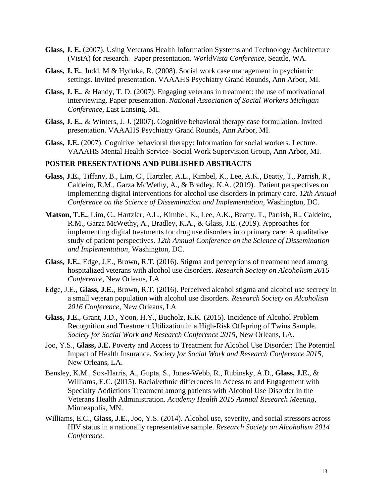- **Glass, J. E.** (2007). Using Veterans Health Information Systems and Technology Architecture (VistA) for research. Paper presentation. *WorldVista Conference*, Seattle, WA.
- **Glass, J. E.**, Judd, M & Hyduke, R. (2008). Social work case management in psychiatric settings. Invited presentation. VAAAHS Psychiatry Grand Rounds, Ann Arbor, MI.
- **Glass, J. E.**, & Handy, T. D. (2007). Engaging veterans in treatment: the use of motivational interviewing. Paper presentation. *National Association of Social Workers Michigan Conference*, East Lansing, MI.
- **Glass, J. E.**, & Winters, J. J**.** (2007). Cognitive behavioral therapy case formulation. Invited presentation. VAAAHS Psychiatry Grand Rounds, Ann Arbor, MI.
- **Glass, J.E.** (2007). Cognitive behavioral therapy: Information for social workers*.* Lecture. VAAAHS Mental Health Service- Social Work Supervision Group, Ann Arbor, MI.

#### **POSTER PRESENTATIONS AND PUBLISHED ABSTRACTS**

- **Glass, J.E.**, Tiffany, B., Lim, C., Hartzler, A.L., Kimbel, K., Lee, A.K., Beatty, T., Parrish, R., Caldeiro, R.M., Garza McWethy, A., & Bradley, K.A. (2019). Patient perspectives on implementing digital interventions for alcohol use disorders in primary care. *12th Annual Conference on the Science of Dissemination and Implementation,* Washington, DC.
- **Matson, T.E.**, Lim, C., Hartzler, A.L., Kimbel, K., Lee, A.K., Beatty, T., Parrish, R., Caldeiro, R.M., Garza McWethy, A., Bradley, K.A., & Glass, J.E. (2019). Approaches for implementing digital treatments for drug use disorders into primary care: A qualitative study of patient perspectives. *12th Annual Conference on the Science of Dissemination and Implementation,* Washington, DC.
- **Glass, J.E.**, Edge, J.E., Brown, R.T. (2016). Stigma and perceptions of treatment need among hospitalized veterans with alcohol use disorders. *Research Society on Alcoholism 2016 Conference*, New Orleans, LA
- Edge, J.E., **Glass, J.E.**, Brown, R.T. (2016). Perceived alcohol stigma and alcohol use secrecy in a small veteran population with alcohol use disorders. *Research Society on Alcoholism 2016 Conference*, New Orleans, LA
- **Glass, J.E.**, Grant, J.D., Yoon, H.Y., Bucholz, K.K. (2015). Incidence of Alcohol Problem Recognition and Treatment Utilization in a High-Risk Offspring of Twins Sample. *Society for Social Work and Research Conference 2015,* New Orleans, LA.
- Joo, Y.S., **Glass, J.E.** Poverty and Access to Treatment for Alcohol Use Disorder: The Potential Impact of Health Insurance. *Society for Social Work and Research Conference 2015,*  New Orleans, LA.
- Bensley, K.M., Sox-Harris, A., Gupta, S., Jones-Webb, R., Rubinsky, A.D., **Glass, J.E.**, & Williams, E.C. (2015). Racial/ethnic differences in Access to and Engagement with Specialty Addictions Treatment among patients with Alcohol Use Disorder in the Veterans Health Administration. *Academy Health 2015 Annual Research Meeting*, Minneapolis, MN.
- Williams, E.C., **Glass, J.E.**, Joo, Y.S. (2014). Alcohol use, severity, and social stressors across HIV status in a nationally representative sample. *Research Society on Alcoholism 2014 Conference.*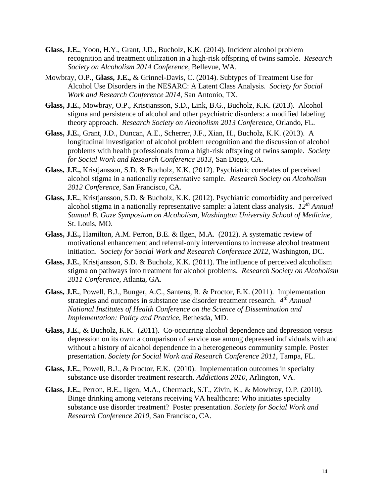- **Glass, J.E.**, Yoon, H.Y., Grant, J.D., Bucholz, K.K. (2014). Incident alcohol problem recognition and treatment utilization in a high-risk offspring of twins sample. *Research Society on Alcoholism 2014 Conference*, Bellevue, WA.
- Mowbray, O.P., **Glass, J.E.,** & Grinnel-Davis, C. (2014). Subtypes of Treatment Use for Alcohol Use Disorders in the NESARC: A Latent Class Analysis. *Society for Social Work and Research Conference 2014,* San Antonio, TX.
- **Glass, J.E.**, Mowbray, O.P., Kristjansson, S.D., Link, B.G., Bucholz, K.K. (2013). Alcohol stigma and persistence of alcohol and other psychiatric disorders: a modified labeling theory approach. *Research Society on Alcoholism 2013 Conference,* Orlando, FL.
- **Glass, J.E.**, Grant, J.D., Duncan, A.E., Scherrer, J.F., Xian, H., Bucholz, K.K. (2013). A longitudinal investigation of alcohol problem recognition and the discussion of alcohol problems with health professionals from a high-risk offspring of twins sample. *Society for Social Work and Research Conference 2013*, San Diego, CA.
- **Glass, J.E.,** Kristjansson, S.D. & Bucholz, K.K. (2012). Psychiatric correlates of perceived alcohol stigma in a nationally representative sample. *Research Society on Alcoholism 2012 Conference,* San Francisco, CA.
- **Glass, J.E.**, Kristjansson, S.D. & Bucholz, K.K. (2012). Psychiatric comorbidity and perceived alcohol stigma in a nationally representative sample: a latent class analysis. *12th Annual Samual B. Guze Symposium on Alcoholism, Washington University School of Medicine*, St. Louis, MO.
- **Glass, J.E.,** Hamilton, A.M. Perron, B.E. & Ilgen, M.A. (2012). A systematic review of motivational enhancement and referral-only interventions to increase alcohol treatment initiation. *Society for Social Work and Research Conference 2012*, Washington, DC.
- **Glass, J.E.**, Kristjansson, S.D. & Bucholz, K.K. (2011). The influence of perceived alcoholism stigma on pathways into treatment for alcohol problems. *Research Society on Alcoholism 2011 Conference*, Atlanta, GA.
- **Glass, J.E.**, Powell, B.J., Bunger, A.C., Santens, R. & Proctor, E.K. (2011). Implementation strategies and outcomes in substance use disorder treatment research. *4 th Annual National Institutes of Health Conference on the Science of Dissemination and Implementation: Policy and Practice,* Bethesda, MD.
- **Glass, J.E.**, & Bucholz, K.K. (2011). Co-occurring alcohol dependence and depression versus depression on its own: a comparison of service use among depressed individuals with and without a history of alcohol dependence in a heterogeneous community sample. Poster presentation. *Society for Social Work and Research Conference 2011*, Tampa, FL.
- **Glass, J.E.**, Powell, B.J., & Proctor, E.K. (2010). Implementation outcomes in specialty substance use disorder treatment research. *Addictions 2010,* Arlington, VA.
- **Glass, J.E.**, Perron, B.E., Ilgen, M.A., Chermack, S.T., Zivin, K., & Mowbray, O.P. (2010). Binge drinking among veterans receiving VA healthcare: Who initiates specialty substance use disorder treatment? Poster presentation. *Society for Social Work and Research Conference 2010,* San Francisco, CA.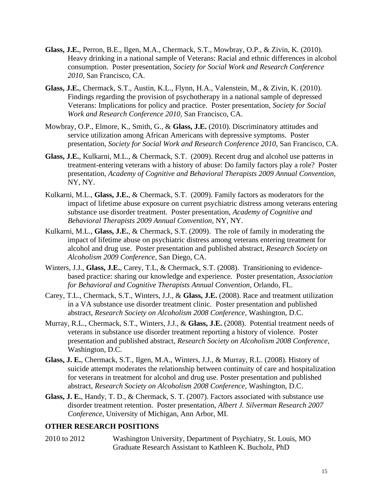- **Glass, J.E.**, Perron, B.E., Ilgen, M.A., Chermack, S.T., Mowbray, O.P., & Zivin, K. (2010). Heavy drinking in a national sample of Veterans: Racial and ethnic differences in alcohol consumption. Poster presentation, *Society for Social Work and Research Conference 2010,* San Francisco, CA.
- **Glass, J.E.**, Chermack, S.T., Austin, K.L., Flynn, H.A., Valenstein, M., & Zivin, K. (2010). Findings regarding the provision of psychotherapy in a national sample of depressed Veterans: Implications for policy and practice. Poster presentation, *Society for Social Work and Research Conference 2010,* San Francisco, CA.
- Mowbray, O.P., Elmore, K., Smith, G., & **Glass, J.E.** (2010). Discriminatory attitudes and service utilization among African Americans with depressive symptoms. Poster presentation, *Society for Social Work and Research Conference 2010,* San Francisco, CA.
- **Glass, J.E.**, Kulkarni, M.L., & Chermack, S.T. (2009). Recent drug and alcohol use patterns in treatment-entering veterans with a history of abuse: Do family factors play a role? Poster presentation, *Academy of Cognitive and Behavioral Therapists 2009 Annual Convention,* NY, NY.
- Kulkarni, M.L., **Glass, J.E.**, & Chermack, S.T. (2009). Family factors as moderators for the impact of lifetime abuse exposure on current psychiatric distress among veterans entering substance use disorder treatment. Poster presentation, *Academy of Cognitive and Behavioral Therapists 2009 Annual Convention,* NY, NY.
- Kulkarni, M.L., **Glass, J.E.**, & Chermack, S.T. (2009). The role of family in moderating the impact of lifetime abuse on psychiatric distress among veterans entering treatment for alcohol and drug use. Poster presentation and published abstract, *Research Society on Alcoholism 2009 Conference*, San Diego, CA.
- Winters, J.J., **Glass, J.E.**, Carey, T.L, & Chermack, S.T. (2008). Transitioning to evidencebased practice: sharing our knowledge and experience*.* Poster presentation, *Association for Behavioral and Cognitive Therapists Annual Convention*, Orlando, FL.
- Carey, T.L., Chermack, S.T., Winters, J.J., & **Glass, J.E.** (2008). Race and treatment utilization in a VA substance use disorder treatment clinic. Poster presentation and published abstract, *Research Society on Alcoholism 2008 Conference*, Washington, D.C.
- Murray, R.L., Chermack, S.T., Winters, J.J., & **Glass, J.E.** (2008). Potential treatment needs of veterans in substance use disorder treatment reporting a history of violence.Poster presentation and published abstract, *Research Society on Alcoholism 2008 Conference*, Washington, D.C.
- **Glass, J. E.**, Chermack, S.T., Ilgen, M.A., Winters, J.J., & Murray, R.L. (2008). History of suicide attempt moderates the relationship between continuity of care and hospitalization for veterans in treatment for alcohol and drug use. Poster presentation and published abstract, *Research Society on Alcoholism 2008 Conference*, Washington, D.C.
- **Glass, J. E.**, Handy, T. D., & Chermack, S. T. (2007). Factors associated with substance use disorder treatment retention. Poster presentation, *Albert J. Silverman Research 2007 Conference*, University of Michigan, Ann Arbor, MI.

#### **OTHER RESEARCH POSITIONS**

2010 to 2012 Washington University, Department of Psychiatry, St. Louis, MO Graduate Research Assistant to Kathleen K. Bucholz, PhD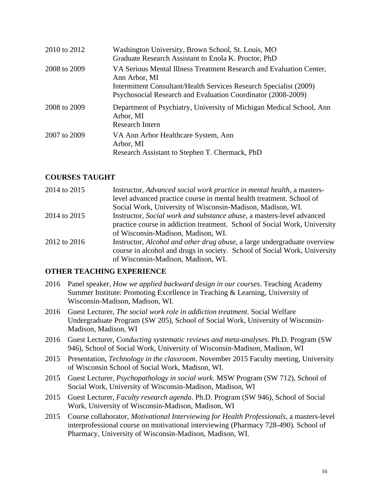| 2010 to 2012 | Washington University, Brown School, St. Louis, MO<br>Graduate Research Assistant to Enola K. Proctor, PhD                                                                                                                 |
|--------------|----------------------------------------------------------------------------------------------------------------------------------------------------------------------------------------------------------------------------|
| 2008 to 2009 | VA Serious Mental Illness Treatment Research and Evaluation Center,<br>Ann Arbor, MI<br>Intermittent Consultant/Health Services Research Specialist (2009)<br>Psychosocial Research and Evaluation Coordinator (2008-2009) |
| 2008 to 2009 | Department of Psychiatry, University of Michigan Medical School, Ann<br>Arbor, MI<br>Research Intern                                                                                                                       |
| 2007 to 2009 | VA Ann Arbor Healthcare System, Ann<br>Arbor, MI<br>Research Assistant to Stephen T. Chermack, PhD                                                                                                                         |

### **COURSES TAUGHT**

| 2014 to 2015 | Instructor, Advanced social work practice in mental health, a masters-           |
|--------------|----------------------------------------------------------------------------------|
|              | level advanced practice course in mental health treatment. School of             |
|              | Social Work, University of Wisconsin-Madison, Madison, WI.                       |
| 2014 to 2015 | Instructor, Social work and substance abuse, a masters-level advanced            |
|              | practice course in addiction treatment. School of Social Work, University        |
|              | of Wisconsin-Madison, Madison, WI.                                               |
| 2012 to 2016 | Instructor, <i>Alcohol and other drug abuse</i> , a large undergraduate overview |
|              | course in alcohol and drugs in society. School of Social Work, University        |
|              | of Wisconsin-Madison, Madison, WI.                                               |

#### **OTHER TEACHING EXPERIENCE**

- 2016 Panel speaker, *How we applied backward design in our courses*. Teaching Academy Summer Institute: Promoting Excellence in Teaching & Learning, University of Wisconsin-Madison, Madison, WI.
- 2016 Guest Lecturer, *The social work role in addiction treatment*. Social Welfare Undergraduate Program (SW 205), School of Social Work, University of Wisconsin-Madison, Madison, WI
- 2016 Guest Lecturer, *Conducting systematic reviews and meta-analyses*. Ph.D. Program (SW 946), School of Social Work, University of Wisconsin-Madison, Madison, WI
- 2015 Presentation, *Technology in the classroom*. November 2015 Faculty meeting, University of Wisconsin School of Social Work, Madison, WI.
- 2015 Guest Lecturer, *Psychopathology in social work*. MSW Program (SW 712), School of Social Work, University of Wisconsin-Madison, Madison, WI
- 2015 Guest Lecturer, *Faculty research agenda*. Ph.D. Program (SW 946), School of Social Work, University of Wisconsin-Madison, Madison, WI
- 2015 Course collaborator, *Motivational Interviewing for Health Professionals*, a masters-level interprofessional course on motivational interviewing (Pharmacy 728-490)*.* School of Pharmacy, University of Wisconsin-Madison, Madison, WI.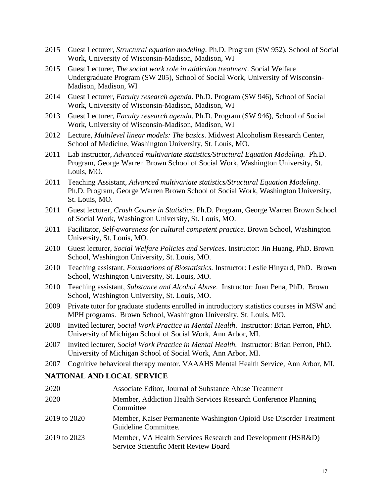- 2015 Guest Lecturer, *Structural equation modeling*. Ph.D. Program (SW 952), School of Social Work, University of Wisconsin-Madison, Madison, WI
- 2015 Guest Lecturer, *The social work role in addiction treatment*. Social Welfare Undergraduate Program (SW 205), School of Social Work, University of Wisconsin-Madison, Madison, WI
- 2014 Guest Lecturer, *Faculty research agenda*. Ph.D. Program (SW 946), School of Social Work, University of Wisconsin-Madison, Madison, WI
- 2013 Guest Lecturer, *Faculty research agenda*. Ph.D. Program (SW 946), School of Social Work, University of Wisconsin-Madison, Madison, WI
- 2012 Lecture, *Multilevel linear models: The basics*. Midwest Alcoholism Research Center, School of Medicine, Washington University, St. Louis, MO.
- 2011 Lab instructor, *Advanced multivariate statistics/Structural Equation Modeling.* Ph.D. Program, George Warren Brown School of Social Work, Washington University, St. Louis, MO.
- 2011 Teaching Assistant, *Advanced multivariate statistics/Structural Equation Modeling*. Ph.D. Program, George Warren Brown School of Social Work, Washington University, St. Louis, MO.
- 2011 Guest lecturer, *Crash Course in Statistics*. Ph.D. Program, George Warren Brown School of Social Work, Washington University, St. Louis, MO.
- 2011 Facilitator, *Self-awareness for cultural competent practice*. Brown School, Washington University, St. Louis, MO.
- 2010 Guest lecturer, *Social Welfare Policies and Services.* Instructor: Jin Huang, PhD. Brown School, Washington University, St. Louis, MO.
- 2010 Teaching assistant, *Foundations of Biostatistics.* Instructor: Leslie Hinyard, PhD. Brown School, Washington University, St. Louis, MO.
- 2010 Teaching assistant, *Substance and Alcohol Abuse*. Instructor: Juan Pena, PhD. Brown School, Washington University, St. Louis, MO.
- 2009 Private tutor for graduate students enrolled in introductory statistics courses in MSW and MPH programs. Brown School, Washington University, St. Louis, MO.
- 2008 Invited lecturer, *Social Work Practice in Mental Health*. Instructor: Brian Perron, PhD. University of Michigan School of Social Work, Ann Arbor, MI.
- 2007 Invited lecturer, *Social Work Practice in Mental Health.* Instructor: Brian Perron, PhD. University of Michigan School of Social Work, Ann Arbor, MI.
- 2007 Cognitive behavioral therapy mentor. VAAAHS Mental Health Service, Ann Arbor, MI.

### **NATIONAL AND LOCAL SERVICE**

| 2020         | Associate Editor, Journal of Substance Abuse Treatment                                               |
|--------------|------------------------------------------------------------------------------------------------------|
| 2020         | Member, Addiction Health Services Research Conference Planning<br>Committee                          |
| 2019 to 2020 | Member, Kaiser Permanente Washington Opioid Use Disorder Treatment<br>Guideline Committee.           |
| 2019 to 2023 | Member, VA Health Services Research and Development (HSR&D)<br>Service Scientific Merit Review Board |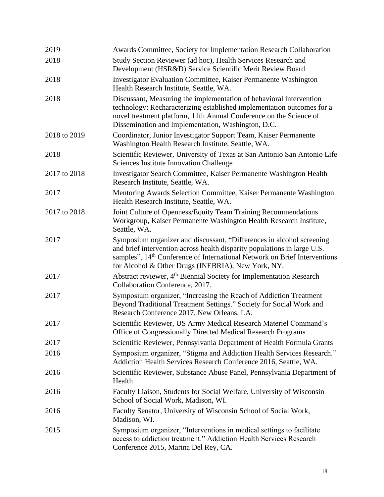| 2019         | Awards Committee, Society for Implementation Research Collaboration                                                                                                                                                                                                                              |
|--------------|--------------------------------------------------------------------------------------------------------------------------------------------------------------------------------------------------------------------------------------------------------------------------------------------------|
| 2018         | Study Section Reviewer (ad hoc), Health Services Research and<br>Development (HSR&D) Service Scientific Merit Review Board                                                                                                                                                                       |
| 2018         | <b>Investigator Evaluation Committee, Kaiser Permanente Washington</b><br>Health Research Institute, Seattle, WA.                                                                                                                                                                                |
| 2018         | Discussant, Measuring the implementation of behavioral intervention<br>technology: Recharacterizing established implementation outcomes for a<br>novel treatment platform, 11th Annual Conference on the Science of<br>Dissemination and Implementation, Washington, D.C.                        |
| 2018 to 2019 | Coordinator, Junior Investigator Support Team, Kaiser Permanente<br>Washington Health Research Institute, Seattle, WA.                                                                                                                                                                           |
| 2018         | Scientific Reviewer, University of Texas at San Antonio San Antonio Life<br><b>Sciences Institute Innovation Challenge</b>                                                                                                                                                                       |
| 2017 to 2018 | Investigator Search Committee, Kaiser Permanente Washington Health<br>Research Institute, Seattle, WA.                                                                                                                                                                                           |
| 2017         | Mentoring Awards Selection Committee, Kaiser Permanente Washington<br>Health Research Institute, Seattle, WA.                                                                                                                                                                                    |
| 2017 to 2018 | Joint Culture of Openness/Equity Team Training Recommendations<br>Workgroup, Kaiser Permanente Washington Health Research Institute,<br>Seattle, WA.                                                                                                                                             |
| 2017         | Symposium organizer and discussant, "Differences in alcohol screening<br>and brief intervention across health disparity populations in large U.S.<br>samples", 14 <sup>th</sup> Conference of International Network on Brief Interventions<br>for Alcohol & Other Drugs (INEBRIA), New York, NY. |
| 2017         | Abstract reviewer, 4 <sup>th</sup> Biennial Society for Implementation Research<br>Collaboration Conference, 2017.                                                                                                                                                                               |
| 2017         | Symposium organizer, "Increasing the Reach of Addiction Treatment<br>Beyond Traditional Treatment Settings." Society for Social Work and<br>Research Conference 2017, New Orleans, LA.                                                                                                           |
| 2017         | Scientific Reviewer, US Army Medical Research Materiel Command's<br>Office of Congressionally Directed Medical Research Programs                                                                                                                                                                 |
| 2017         | Scientific Reviewer, Pennsylvania Department of Health Formula Grants                                                                                                                                                                                                                            |
| 2016         | Symposium organizer, "Stigma and Addiction Health Services Research."<br>Addiction Health Services Research Conference 2016, Seattle, WA.                                                                                                                                                        |
| 2016         | Scientific Reviewer, Substance Abuse Panel, Pennsylvania Department of<br>Health                                                                                                                                                                                                                 |
| 2016         | Faculty Liaison, Students for Social Welfare, University of Wisconsin<br>School of Social Work, Madison, WI.                                                                                                                                                                                     |
| 2016         | Faculty Senator, University of Wisconsin School of Social Work,<br>Madison, WI.                                                                                                                                                                                                                  |
| 2015         | Symposium organizer, "Interventions in medical settings to facilitate<br>access to addiction treatment." Addiction Health Services Research<br>Conference 2015, Marina Del Rey, CA.                                                                                                              |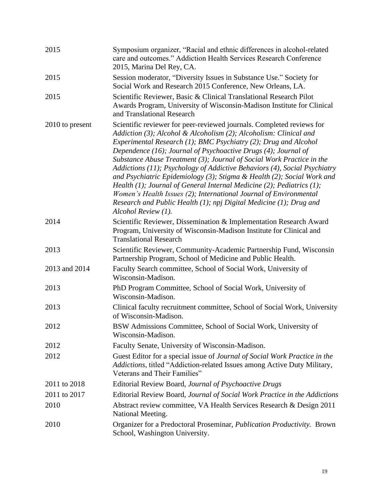| 2015            | Symposium organizer, "Racial and ethnic differences in alcohol-related<br>care and outcomes." Addiction Health Services Research Conference<br>2015, Marina Del Rey, CA.                                                                                                                                                                                                                                                                                                                                                                                                                                                                                                                                                                                         |
|-----------------|------------------------------------------------------------------------------------------------------------------------------------------------------------------------------------------------------------------------------------------------------------------------------------------------------------------------------------------------------------------------------------------------------------------------------------------------------------------------------------------------------------------------------------------------------------------------------------------------------------------------------------------------------------------------------------------------------------------------------------------------------------------|
| 2015            | Session moderator, "Diversity Issues in Substance Use." Society for<br>Social Work and Research 2015 Conference, New Orleans, LA.                                                                                                                                                                                                                                                                                                                                                                                                                                                                                                                                                                                                                                |
| 2015            | Scientific Reviewer, Basic & Clinical Translational Research Pilot<br>Awards Program, University of Wisconsin-Madison Institute for Clinical<br>and Translational Research                                                                                                                                                                                                                                                                                                                                                                                                                                                                                                                                                                                       |
| 2010 to present | Scientific reviewer for peer-reviewed journals. Completed reviews for<br>Addiction (3); Alcohol & Alcoholism (2); Alcoholism: Clinical and<br>Experimental Research (1); BMC Psychiatry (2); Drug and Alcohol<br>Dependence (16); Journal of Psychoactive Drugs (4); Journal of<br>Substance Abuse Treatment (3); Journal of Social Work Practice in the<br>Addictions (11); Psychology of Addictive Behaviors (4), Social Psychiatry<br>and Psychiatric Epidemiology (3); Stigma & Health (2); Social Work and<br>Health (1); Journal of General Internal Medicine (2); Pediatrics (1);<br>Women's Health Issues (2); International Journal of Environmental<br>Research and Public Health $(1)$ ; npj Digital Medicine $(1)$ ; Drug and<br>Alcohol Review (1). |
| 2014            | Scientific Reviewer, Dissemination & Implementation Research Award<br>Program, University of Wisconsin-Madison Institute for Clinical and<br><b>Translational Research</b>                                                                                                                                                                                                                                                                                                                                                                                                                                                                                                                                                                                       |
| 2013            | Scientific Reviewer, Community-Academic Partnership Fund, Wisconsin<br>Partnership Program, School of Medicine and Public Health.                                                                                                                                                                                                                                                                                                                                                                                                                                                                                                                                                                                                                                |
| 2013 and 2014   | Faculty Search committee, School of Social Work, University of<br>Wisconsin-Madison.                                                                                                                                                                                                                                                                                                                                                                                                                                                                                                                                                                                                                                                                             |
| 2013            | PhD Program Committee, School of Social Work, University of<br>Wisconsin-Madison.                                                                                                                                                                                                                                                                                                                                                                                                                                                                                                                                                                                                                                                                                |
| 2013            | Clinical faculty recruitment committee, School of Social Work, University<br>of Wisconsin-Madison.                                                                                                                                                                                                                                                                                                                                                                                                                                                                                                                                                                                                                                                               |
| 2012            | BSW Admissions Committee, School of Social Work, University of<br>Wisconsin-Madison.                                                                                                                                                                                                                                                                                                                                                                                                                                                                                                                                                                                                                                                                             |
| 2012            | Faculty Senate, University of Wisconsin-Madison.                                                                                                                                                                                                                                                                                                                                                                                                                                                                                                                                                                                                                                                                                                                 |
| 2012            | Guest Editor for a special issue of Journal of Social Work Practice in the<br>Addictions, titled "Addiction-related Issues among Active Duty Military,<br>Veterans and Their Families"                                                                                                                                                                                                                                                                                                                                                                                                                                                                                                                                                                           |
| 2011 to 2018    | Editorial Review Board, Journal of Psychoactive Drugs                                                                                                                                                                                                                                                                                                                                                                                                                                                                                                                                                                                                                                                                                                            |
| 2011 to 2017    | Editorial Review Board, Journal of Social Work Practice in the Addictions                                                                                                                                                                                                                                                                                                                                                                                                                                                                                                                                                                                                                                                                                        |
| 2010            | Abstract review committee, VA Health Services Research & Design 2011<br>National Meeting.                                                                                                                                                                                                                                                                                                                                                                                                                                                                                                                                                                                                                                                                        |
| 2010            | Organizer for a Predoctoral Proseminar, Publication Productivity. Brown<br>School, Washington University.                                                                                                                                                                                                                                                                                                                                                                                                                                                                                                                                                                                                                                                        |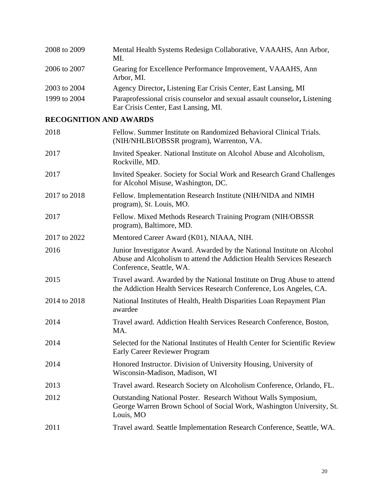| 2008 to 2009 | Mental Health Systems Redesign Collaborative, VAAAHS, Ann Arbor,<br>MI.                                           |
|--------------|-------------------------------------------------------------------------------------------------------------------|
| 2006 to 2007 | Gearing for Excellence Performance Improvement, VAAAHS, Ann<br>Arbor, MI.                                         |
| 2003 to 2004 | Agency Director, Listening Ear Crisis Center, East Lansing, MI                                                    |
| 1999 to 2004 | Paraprofessional crisis counselor and sexual assault counselor, Listening<br>Ear Crisis Center, East Lansing, MI. |

# **RECOGNITION AND AWARDS**

| 2018         | Fellow. Summer Institute on Randomized Behavioral Clinical Trials.<br>(NIH/NHLBI/OBSSR program), Warrenton, VA.                                                              |
|--------------|------------------------------------------------------------------------------------------------------------------------------------------------------------------------------|
| 2017         | Invited Speaker. National Institute on Alcohol Abuse and Alcoholism,<br>Rockville, MD.                                                                                       |
| 2017         | Invited Speaker. Society for Social Work and Research Grand Challenges<br>for Alcohol Misuse, Washington, DC.                                                                |
| 2017 to 2018 | Fellow. Implementation Research Institute (NIH/NIDA and NIMH<br>program), St. Louis, MO.                                                                                     |
| 2017         | Fellow. Mixed Methods Research Training Program (NIH/OBSSR)<br>program), Baltimore, MD.                                                                                      |
| 2017 to 2022 | Mentored Career Award (K01), NIAAA, NIH.                                                                                                                                     |
| 2016         | Junior Investigator Award. Awarded by the National Institute on Alcohol<br>Abuse and Alcoholism to attend the Addiction Health Services Research<br>Conference, Seattle, WA. |
| 2015         | Travel award. Awarded by the National Institute on Drug Abuse to attend<br>the Addiction Health Services Research Conference, Los Angeles, CA.                               |
| 2014 to 2018 | National Institutes of Health, Health Disparities Loan Repayment Plan<br>awardee                                                                                             |
| 2014         | Travel award. Addiction Health Services Research Conference, Boston,<br>MA.                                                                                                  |
| 2014         | Selected for the National Institutes of Health Center for Scientific Review<br><b>Early Career Reviewer Program</b>                                                          |
| 2014         | Honored Instructor. Division of University Housing, University of<br>Wisconsin-Madison, Madison, WI                                                                          |
| 2013         | Travel award. Research Society on Alcoholism Conference, Orlando, FL.                                                                                                        |
| 2012         | Outstanding National Poster. Research Without Walls Symposium,<br>George Warren Brown School of Social Work, Washington University, St.<br>Louis, MO                         |
| 2011         | Travel award. Seattle Implementation Research Conference, Seattle, WA.                                                                                                       |